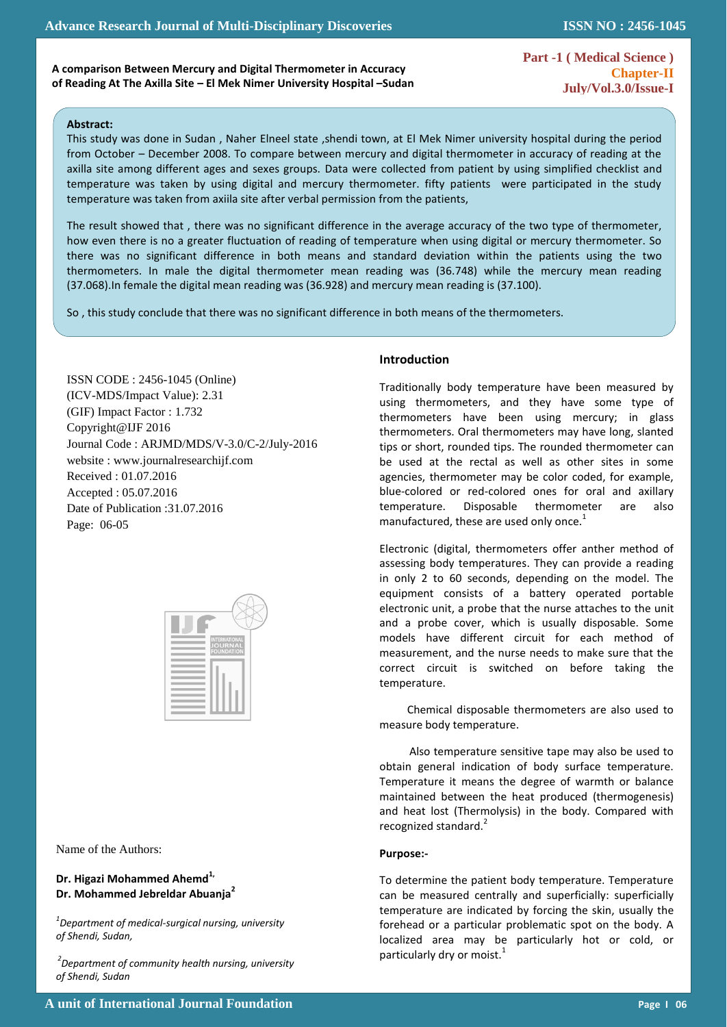**Part -1 ( Medical Science ) Chapter-II July/Vol.3.0/Issue-I** 

**ISSN NO : 2456-1045**

#### **Abstract:**

 $\mathbb{R}^2$ 

This study was done in Sudan , Naher Elneel state ,shendi town, at El Mek Nimer university hospital during the period from October – December 2008. To compare between mercury and digital thermometer in accuracy of reading at the axilla site among different ages and sexes groups. Data were collected from patient by using simplified checklist and temperature was taken by using digital and mercury thermometer. fifty patients were participated in the study temperature was taken from axiila site after verbal permission from the patients,

The result showed that , there was no significant difference in the average accuracy of the two type of thermometer, how even there is no a greater fluctuation of reading of temperature when using digital or mercury thermometer. So there was no significant difference in both means and standard deviation within the patients using the two thermometers. In male the digital thermometer mean reading was (36.748) while the mercury mean reading (37.068).In female the digital mean reading was (36.928) and mercury mean reading is (37.100).

So , this study conclude that there was no significant difference in both means of the thermometers.

ISSN CODE : 2456-1045 (Online) (ICV-MDS/Impact Value): 2.31 (GIF) Impact Factor : 1.732 Copyright@IJF 2016 Journal Code : ARJMD/MDS/V-3.0/C-2/July-2016 website : www.journalresearchijf.com Received : 01.07.2016 Accepted : 05.07.2016 Date of Publication :31.07.2016 Page: 06-05

| <b>INTERNATIONAL</b><br><b>JOURNAL</b><br><b>FOUNDATION</b> |  |
|-------------------------------------------------------------|--|
|                                                             |  |
|                                                             |  |
|                                                             |  |

Name of the Authors:

# **Dr. Higazi Mohammed Ahemd1, Dr. Mohammed Jebreldar Abuanja<sup>2</sup>**

*1 Department of medical-surgical nursing, university of Shendi, Sudan,*

*2 Department of community health nursing, university of Shendi, Sudan*

### **Introduction**

Traditionally body temperature have been measured by using thermometers, and they have some type of thermometers have been using mercury; in glass thermometers. Oral thermometers may have long, slanted tips or short, rounded tips. The rounded thermometer can be used at the rectal as well as other sites in some agencies, thermometer may be color coded, for example, blue-colored or red-colored ones for oral and axillary temperature. Disposable thermometer are also manufactured, these are used only once.<sup>1</sup>

Electronic (digital, thermometers offer anther method of assessing body temperatures. They can provide a reading in only 2 to 60 seconds, depending on the model. The equipment consists of a battery operated portable electronic unit, a probe that the nurse attaches to the unit and a probe cover, which is usually disposable. Some models have different circuit for each method of measurement, and the nurse needs to make sure that the correct circuit is switched on before taking the temperature.

 Chemical disposable thermometers are also used to measure body temperature.

Also temperature sensitive tape may also be used to obtain general indication of body surface temperature. Temperature it means the degree of warmth or balance maintained between the heat produced (thermogenesis) and heat lost (Thermolysis) in the body. Compared with recognized standard.<sup>2</sup>

#### **Purpose:-**

To determine the patient body temperature. Temperature can be measured centrally and superficially: superficially temperature are indicated by forcing the skin, usually the forehead or a particular problematic spot on the body. A localized area may be particularly hot or cold, or particularly dry or moist. $<sup>1</sup>$ </sup>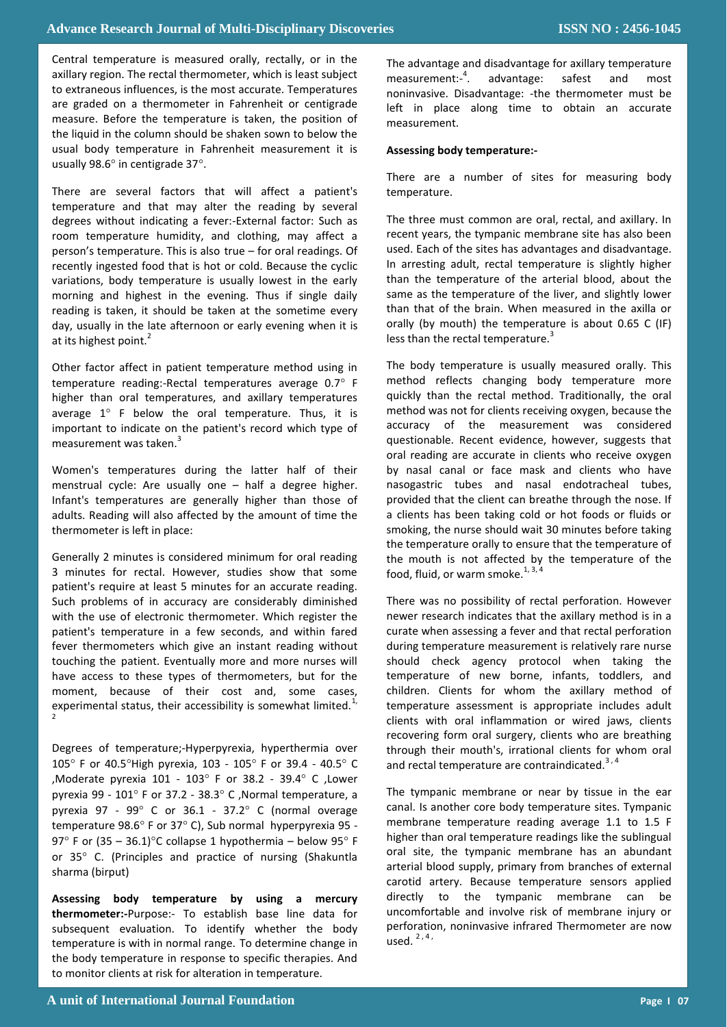Central temperature is measured orally, rectally, or in the axillary region. The rectal thermometer, which is least subject to extraneous influences, is the most accurate. Temperatures are graded on a thermometer in Fahrenheit or centigrade measure. Before the temperature is taken, the position of the liquid in the column should be shaken sown to below the usual body temperature in Fahrenheit measurement it is usually 98.6° in centigrade 37°.

There are several factors that will affect a patient's temperature and that may alter the reading by several degrees without indicating a fever:-External factor: Such as room temperature humidity, and clothing, may affect a person's temperature. This is also true – for oral readings. Of recently ingested food that is hot or cold. Because the cyclic variations, body temperature is usually lowest in the early morning and highest in the evening. Thus if single daily reading is taken, it should be taken at the sometime every day, usually in the late afternoon or early evening when it is at its highest point.<sup>2</sup>

Other factor affect in patient temperature method using in temperature reading:-Rectal temperatures average  $0.7^\circ$  F higher than oral temperatures, and axillary temperatures average  $1^\circ$  F below the oral temperature. Thus, it is important to indicate on the patient's record which type of measurement was taken.<sup>3</sup>

Women's temperatures during the latter half of their menstrual cycle: Are usually one – half a degree higher. Infant's temperatures are generally higher than those of adults. Reading will also affected by the amount of time the thermometer is left in place:

Generally 2 minutes is considered minimum for oral reading 3 minutes for rectal. However, studies show that some patient's require at least 5 minutes for an accurate reading. Such problems of in accuracy are considerably diminished with the use of electronic thermometer. Which register the patient's temperature in a few seconds, and within fared fever thermometers which give an instant reading without touching the patient. Eventually more and more nurses will have access to these types of thermometers, but for the moment, because of their cost and, some cases, experimental status, their accessibility is somewhat limited. $1/2$ 2

Degrees of temperature;-Hyperpyrexia, hyperthermia over 105 $^{\circ}$  F or 40.5 $^{\circ}$ High pyrexia, 103 - 105 $^{\circ}$  F or 39.4 - 40.5 $^{\circ}$  C ,Moderate pyrexia 101 - 103 $^{\circ}$  F or 38.2 - 39.4 $^{\circ}$  C ,Lower pyrexia 99 -  $101^\circ$  F or 37.2 - 38.3 $^\circ$  C, Normal temperature, a pyrexia 97 - 99 $^{\circ}$  C or 36.1 - 37.2 $^{\circ}$  C (normal overage temperature 98.6° F or 37° C), Sub normal hyperpyrexia 95 -97° F or  $(35 - 36.1)$ °C collapse 1 hypothermia – below 95° F or 35° C. (Principles and practice of nursing (Shakuntla sharma (birput)

**Assessing body temperature by using a mercury thermometer:-**Purpose:- To establish base line data for subsequent evaluation. To identify whether the body temperature is with in normal range. To determine change in the body temperature in response to specific therapies. And to monitor clients at risk for alteration in temperature.

The advantage and disadvantage for axillary temperature measurement:- 4 . advantage: safest and most noninvasive. Disadvantage: -the thermometer must be left in place along time to obtain an accurate measurement.

## **Assessing body temperature:-**

There are a number of sites for measuring body temperature.

The three must common are oral, rectal, and axillary. In recent years, the tympanic membrane site has also been used. Each of the sites has advantages and disadvantage. In arresting adult, rectal temperature is slightly higher than the temperature of the arterial blood, about the same as the temperature of the liver, and slightly lower than that of the brain. When measured in the axilla or orally (by mouth) the temperature is about 0.65 C (IF) less than the rectal temperature.<sup>3</sup>

The body temperature is usually measured orally. This method reflects changing body temperature more quickly than the rectal method. Traditionally, the oral method was not for clients receiving oxygen, because the accuracy of the measurement was considered questionable. Recent evidence, however, suggests that oral reading are accurate in clients who receive oxygen by nasal canal or face mask and clients who have nasogastric tubes and nasal endotracheal tubes, provided that the client can breathe through the nose. If a clients has been taking cold or hot foods or fluids or smoking, the nurse should wait 30 minutes before taking the temperature orally to ensure that the temperature of the mouth is not affected by the temperature of the food, fluid, or warm smoke. $^{1, 3, 4}$ 

There was no possibility of rectal perforation. However newer research indicates that the axillary method is in a curate when assessing a fever and that rectal perforation during temperature measurement is relatively rare nurse should check agency protocol when taking the temperature of new borne, infants, toddlers, and children. Clients for whom the axillary method of temperature assessment is appropriate includes adult clients with oral inflammation or wired jaws, clients recovering form oral surgery, clients who are breathing through their mouth's, irrational clients for whom oral and rectal temperature are contraindicated.<sup>3,4</sup>

The tympanic membrane or near by tissue in the ear canal. Is another core body temperature sites. Tympanic membrane temperature reading average 1.1 to 1.5 F higher than oral temperature readings like the sublingual oral site, the tympanic membrane has an abundant arterial blood supply, primary from branches of external carotid artery. Because temperature sensors applied directly to the tympanic membrane can be uncomfortable and involve risk of membrane injury or perforation, noninvasive infrared Thermometer are now  $used.$ <sup>2,4,</sup>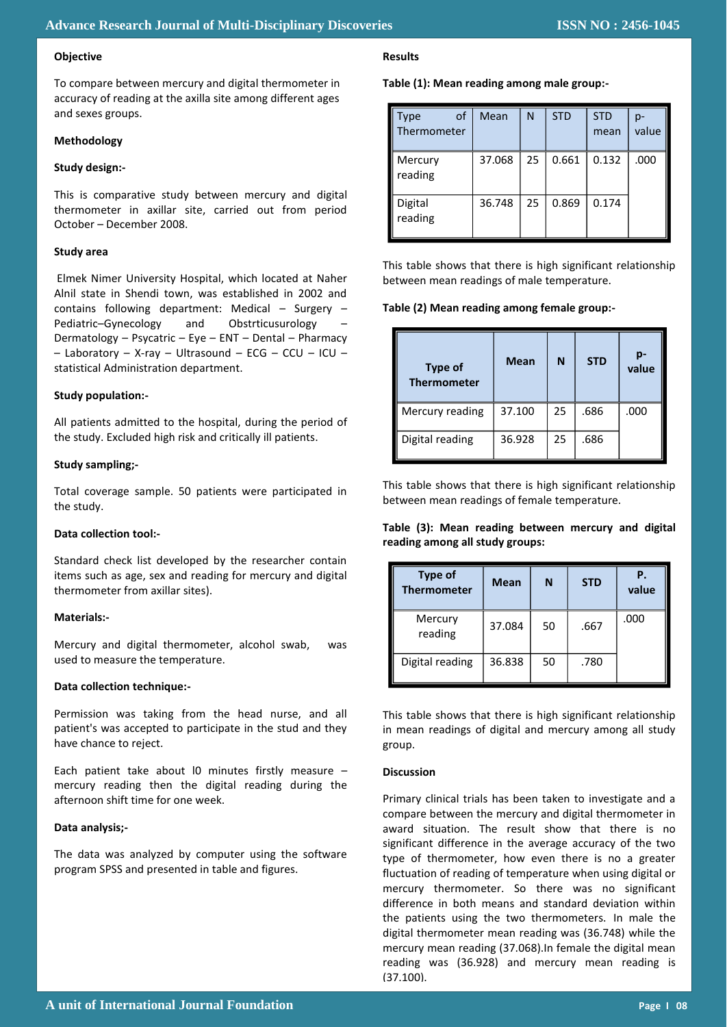### **Objective**

To compare between mercury and digital thermometer in accuracy of reading at the axilla site among different ages and sexes groups.

### **Methodology**

## **Study design:-**

This is comparative study between mercury and digital thermometer in axillar site, carried out from period October – December 2008.

#### **Study area**

Elmek Nimer University Hospital, which located at Naher Alnil state in Shendi town, was established in 2002 and contains following department: Medical – Surgery – Pediatric–Gynecology and Obstrticusurology – Dermatology – Psycatric – Eye – ENT – Dental – Pharmacy – Laboratory – X-ray – Ultrasound – ECG – CCU – ICU – statistical Administration department.

#### **Study population:-**

All patients admitted to the hospital, during the period of the study. Excluded high risk and critically ill patients.

#### **Study sampling;-**

Total coverage sample. 50 patients were participated in the study.

### **Data collection tool:-**

Standard check list developed by the researcher contain items such as age, sex and reading for mercury and digital thermometer from axillar sites).

### **Materials:-**

Mercury and digital thermometer, alcohol swab, was used to measure the temperature.

#### **Data collection technique:-**

Permission was taking from the head nurse, and all patient's was accepted to participate in the stud and they have chance to reject.

Each patient take about l0 minutes firstly measure – mercury reading then the digital reading during the afternoon shift time for one week.

### **Data analysis;-**

The data was analyzed by computer using the software program SPSS and presented in table and figures.

# **Results**

#### **Table (1): Mean reading among male group:-**

| οf<br>Type<br>Thermometer | Mean   | N  | <b>STD</b> | <b>STD</b><br>mean | p-<br>value |
|---------------------------|--------|----|------------|--------------------|-------------|
| Mercury<br>reading        | 37.068 | 25 | 0.661      | 0.132              | .000        |
| Digital<br>reading        | 36.748 | 25 | 0.869      | 0.174              |             |

This table shows that there is high significant relationship between mean readings of male temperature.

#### **Table (2) Mean reading among female group:-**

| Type of<br><b>Thermometer</b> | <b>Mean</b> | N  | <b>STD</b> | p-<br>value |
|-------------------------------|-------------|----|------------|-------------|
| Mercury reading               | 37.100      | 25 | .686       | .000        |
| Digital reading               | 36.928      | 25 | .686       |             |

This table shows that there is high significant relationship between mean readings of female temperature.

## **Table (3): Mean reading between mercury and digital reading among all study groups:**

| <b>Type of</b><br><b>Thermometer</b> | <b>Mean</b> | N  | <b>STD</b> | Ρ.<br>value |
|--------------------------------------|-------------|----|------------|-------------|
| Mercury<br>reading                   | 37.084      | 50 | .667       | .000        |
| Digital reading                      | 36.838      | 50 | .780       |             |

This table shows that there is high significant relationship in mean readings of digital and mercury among all study group.

### **Discussion**

Primary clinical trials has been taken to investigate and a compare between the mercury and digital thermometer in award situation. The result show that there is no significant difference in the average accuracy of the two type of thermometer, how even there is no a greater fluctuation of reading of temperature when using digital or mercury thermometer. So there was no significant difference in both means and standard deviation within the patients using the two thermometers. In male the digital thermometer mean reading was (36.748) while the mercury mean reading (37.068).In female the digital mean reading was (36.928) and mercury mean reading is (37.100).